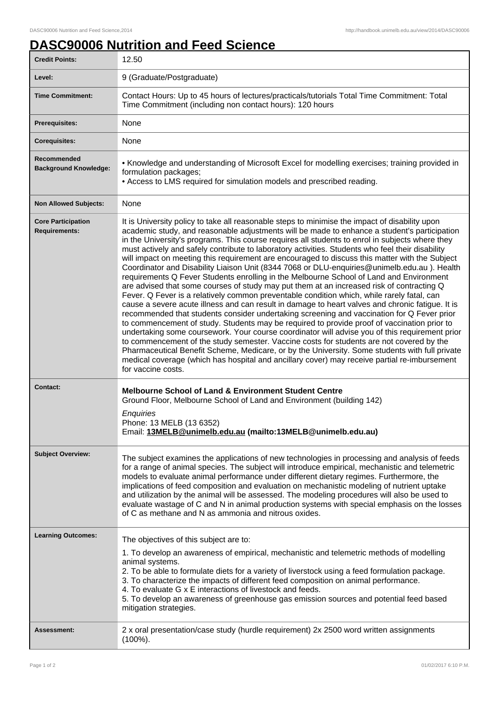## **DASC90006 Nutrition and Feed Science**

| <b>Credit Points:</b>                             | 12.50                                                                                                                                                                                                                                                                                                                                                                                                                                                                                                                                                                                                                                                                                                                                                                                                                                                                                                                                                                                                                                                                                                                                                                                                                                                                                                                                                                                                                                                                                                                                                                                                               |
|---------------------------------------------------|---------------------------------------------------------------------------------------------------------------------------------------------------------------------------------------------------------------------------------------------------------------------------------------------------------------------------------------------------------------------------------------------------------------------------------------------------------------------------------------------------------------------------------------------------------------------------------------------------------------------------------------------------------------------------------------------------------------------------------------------------------------------------------------------------------------------------------------------------------------------------------------------------------------------------------------------------------------------------------------------------------------------------------------------------------------------------------------------------------------------------------------------------------------------------------------------------------------------------------------------------------------------------------------------------------------------------------------------------------------------------------------------------------------------------------------------------------------------------------------------------------------------------------------------------------------------------------------------------------------------|
| Level:                                            | 9 (Graduate/Postgraduate)                                                                                                                                                                                                                                                                                                                                                                                                                                                                                                                                                                                                                                                                                                                                                                                                                                                                                                                                                                                                                                                                                                                                                                                                                                                                                                                                                                                                                                                                                                                                                                                           |
| <b>Time Commitment:</b>                           | Contact Hours: Up to 45 hours of lectures/practicals/tutorials Total Time Commitment: Total<br>Time Commitment (including non contact hours): 120 hours                                                                                                                                                                                                                                                                                                                                                                                                                                                                                                                                                                                                                                                                                                                                                                                                                                                                                                                                                                                                                                                                                                                                                                                                                                                                                                                                                                                                                                                             |
| Prerequisites:                                    | None                                                                                                                                                                                                                                                                                                                                                                                                                                                                                                                                                                                                                                                                                                                                                                                                                                                                                                                                                                                                                                                                                                                                                                                                                                                                                                                                                                                                                                                                                                                                                                                                                |
| <b>Corequisites:</b>                              | None                                                                                                                                                                                                                                                                                                                                                                                                                                                                                                                                                                                                                                                                                                                                                                                                                                                                                                                                                                                                                                                                                                                                                                                                                                                                                                                                                                                                                                                                                                                                                                                                                |
| Recommended<br><b>Background Knowledge:</b>       | • Knowledge and understanding of Microsoft Excel for modelling exercises; training provided in<br>formulation packages;<br>• Access to LMS required for simulation models and prescribed reading.                                                                                                                                                                                                                                                                                                                                                                                                                                                                                                                                                                                                                                                                                                                                                                                                                                                                                                                                                                                                                                                                                                                                                                                                                                                                                                                                                                                                                   |
| <b>Non Allowed Subjects:</b>                      | None                                                                                                                                                                                                                                                                                                                                                                                                                                                                                                                                                                                                                                                                                                                                                                                                                                                                                                                                                                                                                                                                                                                                                                                                                                                                                                                                                                                                                                                                                                                                                                                                                |
| <b>Core Participation</b><br><b>Requirements:</b> | It is University policy to take all reasonable steps to minimise the impact of disability upon<br>academic study, and reasonable adjustments will be made to enhance a student's participation<br>in the University's programs. This course requires all students to enrol in subjects where they<br>must actively and safely contribute to laboratory activities. Students who feel their disability<br>will impact on meeting this requirement are encouraged to discuss this matter with the Subject<br>Coordinator and Disability Liaison Unit (8344 7068 or DLU-enquiries@unimelb.edu.au). Health<br>requirements Q Fever Students enrolling in the Melbourne School of Land and Environment<br>are advised that some courses of study may put them at an increased risk of contracting Q<br>Fever. Q Fever is a relatively common preventable condition which, while rarely fatal, can<br>cause a severe acute illness and can result in damage to heart valves and chronic fatigue. It is<br>recommended that students consider undertaking screening and vaccination for Q Fever prior<br>to commencement of study. Students may be required to provide proof of vaccination prior to<br>undertaking some coursework. Your course coordinator will advise you of this requirement prior<br>to commencement of the study semester. Vaccine costs for students are not covered by the<br>Pharmaceutical Benefit Scheme, Medicare, or by the University. Some students with full private<br>medical coverage (which has hospital and ancillary cover) may receive partial re-imbursement<br>for vaccine costs. |
| Contact:                                          | <b>Melbourne School of Land &amp; Environment Student Centre</b><br>Ground Floor, Melbourne School of Land and Environment (building 142)<br>Enquiries<br>Phone: 13 MELB (13 6352)<br>Email: 13MELB@unimelb.edu.au (mailto:13MELB@unimelb.edu.au)                                                                                                                                                                                                                                                                                                                                                                                                                                                                                                                                                                                                                                                                                                                                                                                                                                                                                                                                                                                                                                                                                                                                                                                                                                                                                                                                                                   |
| <b>Subject Overview:</b>                          | The subject examines the applications of new technologies in processing and analysis of feeds<br>for a range of animal species. The subject will introduce empirical, mechanistic and telemetric<br>models to evaluate animal performance under different dietary regimes. Furthermore, the<br>implications of feed composition and evaluation on mechanistic modeling of nutrient uptake<br>and utilization by the animal will be assessed. The modeling procedures will also be used to<br>evaluate wastage of C and N in animal production systems with special emphasis on the losses<br>of C as methane and N as ammonia and nitrous oxides.                                                                                                                                                                                                                                                                                                                                                                                                                                                                                                                                                                                                                                                                                                                                                                                                                                                                                                                                                                   |
| <b>Learning Outcomes:</b>                         | The objectives of this subject are to:<br>1. To develop an awareness of empirical, mechanistic and telemetric methods of modelling<br>animal systems.<br>2. To be able to formulate diets for a variety of liverstock using a feed formulation package.<br>3. To characterize the impacts of different feed composition on animal performance.<br>4. To evaluate G x E interactions of livestock and feeds.<br>5. To develop an awareness of greenhouse gas emission sources and potential feed based<br>mitigation strategies.                                                                                                                                                                                                                                                                                                                                                                                                                                                                                                                                                                                                                                                                                                                                                                                                                                                                                                                                                                                                                                                                                     |
| Assessment:                                       | 2 x oral presentation/case study (hurdle requirement) 2x 2500 word written assignments<br>$(100\%)$ .                                                                                                                                                                                                                                                                                                                                                                                                                                                                                                                                                                                                                                                                                                                                                                                                                                                                                                                                                                                                                                                                                                                                                                                                                                                                                                                                                                                                                                                                                                               |